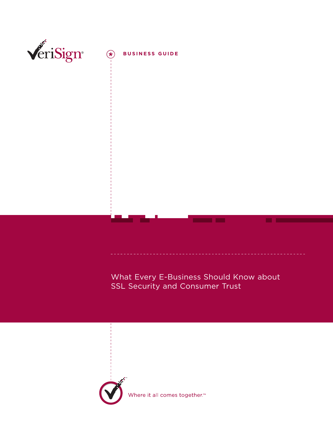

What Every E-Business Should Know about SSL Security and Consumer Trust

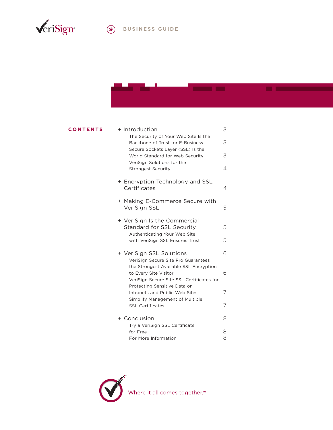

# **BUSINESS GUIDE**

a sa b

**Contract Contract** 

### **CONTENTS**

| + Introduction                                                                                                | 3      |
|---------------------------------------------------------------------------------------------------------------|--------|
| The Security of Your Web Site Is the<br>Backbone of Trust for E-Business<br>Secure Sockets Layer (SSL) Is the | 3      |
| World Standard for Web Security<br>VeriSign Solutions for the                                                 | 3      |
| <b>Strongest Security</b>                                                                                     | 4      |
| + Encryption Technology and SSL<br>Certificates                                                               | 4      |
| + Making E-Commerce Secure with<br>VeriSign SSL                                                               | 5      |
| + VeriSign Is the Commercial<br>Standard for SSL Security<br>Authenticating Your Web Site                     | 5      |
| with VeriSign SSL Ensures Trust                                                                               | 5      |
| + VeriSign SSL Solutions<br>VeriSign Secure Site Pro Guarantees                                               | 6      |
| the Strongest Available SSL Encryption<br>to Every Site Visitor<br>VeriSign Secure Site SSL Certificates for  | 6      |
| Protecting Sensitive Data on<br>Intranets and Public Web Sites                                                | 7      |
| Simplify Management of Multiple<br><b>SSL Certificates</b>                                                    | 7      |
| + Conclusion                                                                                                  | 8      |
| Try a VeriSign SSL Certificate<br>for Free<br>For More Information                                            | 8<br>8 |



Where it all comes together.<sup>™</sup>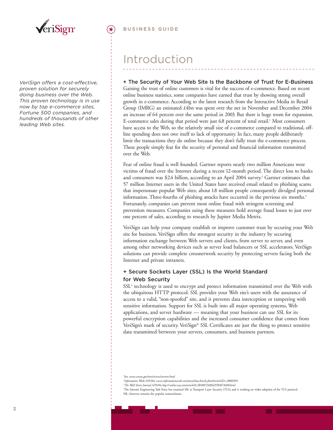

*VeriSign offers a cost-effective, proven solution for securely doing business over the Web. This proven technology is in use now by top e-commerce sites, Fortune 500 companies, and hundreds of thousands of other leading Web sites.*

## Introduction

#### **+ The Security of Your Web Site Is the Backbone of Trust for E-Business**

Gaining the trust of online customers is vital for the success of e-commerce. Based on recent online business statistics, some companies have earned that trust by showing strong overall growth in e-commerce. According to the latest research from the Interactive Media in Retail Group (IMRG) an estimated £4bn was spent over the net in November and December 2004 an increase of 64 percent over the same period in 2003. But there is huge room for expansion. E-commerce sales during that period were just 6.8 percent of total retail.<sup>1</sup> Most consumers have access to the Web, so the relatively small size of e-commerce compared to traditional, offline spending does not owe itself to lack of opportunity. In fact, many people deliberately limit the transactions they do online because they don't fully trust the e-commerce process. These people simply fear for the security of personal and financial information transmitted over the Web.

Fear of online fraud is well founded. Gartner reports nearly two million Americans were victims of fraud over the Internet during a recent 12-month period. The direct loss to banks and consumers was \$2.4 billion, according to an April 2004 survey.<sup>2</sup> Gartner estimates that 57 million Internet users in the United States have received email related to phishing scams that impersonate popular Web sites; about 1.8 million people consequently divulged personal information. Three-fourths of phishing attacks have occurred in the previous six months.<sup>3</sup> Fortunately, companies can prevent most online fraud with stringent screening and prevention measures. Companies using these measures hold average fraud losses to just over one percent of sales, according to research by Jupiter Media Metrix.

VeriSign can help your company establish or improve customer trust by securing your Web site for business. VeriSign offers the strongest security in the industry by securing information exchange between Web servers and clients, from server to server, and even among other networking devices such as server load balancers or SSL accelerators. VeriSign solutions can provide complete crossnetwork security by protecting servers facing both the Internet and private intranets.

### **+ Secure Sockets Layer (SSL) Is the World Standard for Web Security**

 $SSL<sup>4</sup>$  technology is used to encrypt and protect information transmitted over the Web with the ubiquitous HTTP protocol. SSL provides your Web site's users with the assurance of access to a valid, "non-spoofed" site, and it prevents data interception or tampering with sensitive information. Support for SSL is built into all major operating systems, Web applications, and server hardware — meaning that your business can use SSL for its powerful encryption capabilities and the increased consumer confidence that comes from VeriSign's mark of security. VeriSign® SSL Certificates are just the thing to protect sensitive data transmitted between your servers, consumers, and business partners.

2 *Information Week*, 6/15/04, *www.informationweek.com/story/showArticle.jhtml?articleID=21800505*.

<sup>1</sup> See *www.census.gov/mrts/www/current.html*.

<sup>3</sup> *The Wall Street Journal*, 6/15/04, htp://*online.wsj.com/article/0,,SB108724856255936731,00.html*.

<sup>4</sup> The Internet Engineering Task Force has renamed SSL to Transport Layer Security (TLS), and is working on wider adoption of the TLS protocol. SSL, however, remains the popular nomenclature.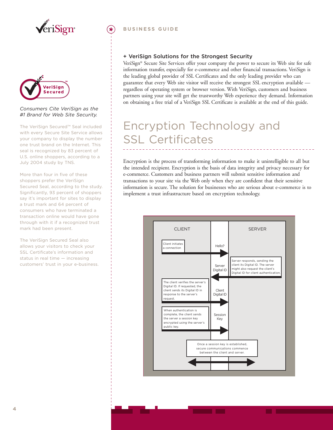



#### *Consumers Cite VeriSign as the #1 Brand for Web Site Security.*

The VeriSign Secured™ Seal included with every Secure Site Service allows your company to display the number one trust brand on the Internet. This seal is recognized by 83 percent of U.S. online shoppers, according to a July 2004 study by TNS.

More than four in five of these shoppers prefer the VeriSign Secured Seal, according to the study. Significantly, 93 percent of shoppers say it's important for sites to display a trust mark and 64 percent of consumers who have terminated a transaction online would have gone through with it if a recognized trust mark had been present.

The VeriSign Secured Seal also allows your visitors to check your SSL Certificate's information and status in real time — increasing customers' trust in your e-business.

#### **BUSINESS GUIDE**

#### **+ VeriSign Solutions for the Strongest Security**

VeriSign® Secure Site Services offer your company the power to secure its Web site for safe information transfer, especially for e-commerce and other financial transactions. VeriSign is the leading global provider of SSL Certificates and the only leading provider who can guarantee that every Web site visitor will receive the strongest SSL encryption available regardless of operating system or browser version. With VeriSign, customers and business partners using your site will get the trustworthy Web experience they demand. Information on obtaining a free trial of a VeriSign SSL Certificate is available at the end of this guide.

## Encryption Technology and SSL Certificates

Encryption is the process of transforming information to make it unintelligible to all but the intended recipient. Encryption is the basis of data integrity and privacy necessary for e-commerce. Customers and business partners will submit sensitive information and transactions to your site via the Web only when they are confident that their sensitive information is secure. The solution for businesses who are serious about e-commerce is to implement a trust infrastructure based on encryption technology.

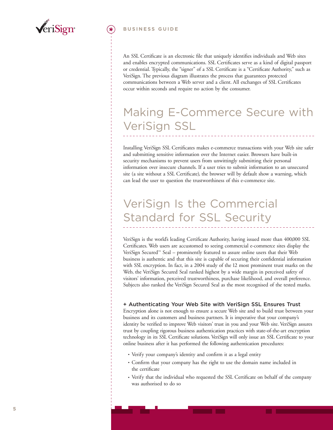

#### **BUSINESS GUIDE**

An SSL Certificate is an electronic file that uniquely identifies individuals and Web sites and enables encrypted communications. SSL Certificates serve as a kind of digital passport or credential. Typically, the "signer" of a SSL Certificate is a "Certificate Authority," such as VeriSign. The previous diagram illustrates the process that guarantees protected communications between a Web server and a client. All exchanges of SSL Certificates occur within seconds and require no action by the consumer.

# Making E-Commerce Secure with VeriSign SSL

Installing VeriSign SSL Certificates makes e-commerce transactions with your Web site safer and submitting sensitive information over the Internet easier. Browsers have built-in security mechanisms to prevent users from unwittingly submitting their personal information over insecure channels. If a user tries to submit information to an unsecured site (a site without a SSL Certificate), the browser will by default show a warning, which can lead the user to question the trustworthiness of this e-commerce site.

# VeriSign Is the Commercial Standard for SSL Security

VeriSign is the world's leading Certificate Authority, having issued more than 400,000 SSL Certificates. Web users are accustomed to seeing commercial e-commerce sites display the VeriSign Secured™ Seal – prominently featured to assure online users that their Web business is authentic and that this site is capable of securing their confidential information with SSL encryption. In fact, in a 2004 study of the 12 most prominent trust marks on the Web, the VeriSign Secured Seal ranked highest by a wide margin in perceived safety of visitors' information, perceived trustworthiness, purchase likelihood, and overall preference. Subjects also ranked the VeriSign Secured Seal as the most recognised of the tested marks.

#### **+ Authenticating Your Web Site with VeriSign SSL Ensures Trust**

Encryption alone is not enough to ensure a secure Web site and to build trust between your business and its customers and business partners. It is imperative that your company's identity be verified to improve Web visitors' trust in you and your Web site. VeriSign assures trust by coupling rigorous business authentication practices with state-of-the-art encryption technology in its SSL Certificate solutions. VeriSign will only issue an SSL Certificate to your online business after it has performed the following authentication procedures:

- Verify your company's identity and confirm it as a legal entity
- Confirm that your company has the right to use the domain name included in the certificate
- Verify that the individual who requested the SSL Certificate on behalf of the company was authorised to do so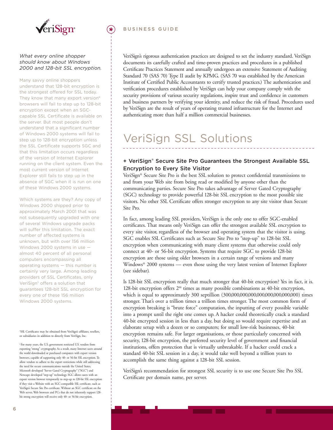

#### *What every online shopper should know about Windows 2000 and 128-bit SSL encryption.*

Many savvy online shoppers understand that 128-bit encryption is the strongest offered for SSL today. They know that many export version<sup>6</sup> browsers will fail to step up to 128-bit encryption except when an SGCcapable SSL Certificate is available on the server. But most people don't understand that a significant number of Windows 2000 systems will fail to step up to 128-bit encryption unless the SSL Certificate supports SGC and that this limitation occurs regardless of the version of Internet Explorer running on the client system. Even the most current version of Internet Explorer still fails to step up in the absence of SGC when it is run on one of these Windows 2000 systems.

Which systems are they? Any copy of Windows 2000 shipped prior to approximately March 2001 that was not subsequently upgraded with one of several Windows upgrade packs will suffer this limitation. The exact number of affected systems is unknown, but with over 156 million Windows 2000 systems in use almost 40 percent of all personal computers encompassing all operating systems — this number is certainly very large. Among leading providers of SSL Certificates, only VeriSign<sup>5</sup> offers a solution that guarantees 128-bit SSL encryption for every one of these 156 million Windows 2000 systems.

5 SSL Certificates may be obtained from VeriSign's affiliates, resellers, or subsidiaries in addition to directly from VeriSign, Inc.

6 For many years, the U.S. government restricted U.S. vendors from exporting "strong" cryptography. As a result, many Internet users around the world downloaded or purchased computers with export version browsers, capable of supporting only 40- or 56-bit SSL encryption. To allow vendors to adhere to the export restrictions while still addressing the need for secure communications outside the United States, Microsoft developed "Server Gated Cryptography" ("SGC") and Netscape developed "step-up" technology. SGC allows users with an export version browser temporarily to step-up to 128-bit SSL encryption if they visit a Website with an SGC-compatible SSL certificate, such as VeriSign's Secure Site Pro certificate. Without an SGC certificate on the Web server, Web browsers and PCs that do not inherently support 128bit strong encryption will receive only 40- or 56-bit encryption.

#### **BUSINESS GUIDE**

VeriSign's rigorous authentication practices are designed to set the industry standard. VeriSign documents its carefully crafted and time-proven practices and procedures in a published Certificate Practices Statement and annually undergoes an extensive Statement of Auditing Standard 70 (SAS 70) Type II audit by KPMG. (SAS 70 was established by the American Institute of Certified Public Accountants to certify trusted practices.) The authentication and verification procedures established by VeriSign can help your company comply with the security provisions of various security regulations, inspire trust and confidence in customers and business partners by verifying your identity, and reduce the risk of fraud. Procedures used by VeriSign are the result of years of operating trusted infrastructure for the Internet and authenticating more than half a million commercial businesses.

## VeriSign SSL Solutions

### **+ VeriSign® Secure Site Pro Guarantees the Strongest Available SSL Encryption to Every Site Visitor**

VeriSign® Secure Site Pro is the best SSL solution to protect confidential transmissions to and from your Web site from being read or modified by anyone other than the communicating parties. Secure Site Pro takes advantage of Server Gated Cryptography (SGC) technology to provide powerful 128-bit SSL encryption to the most possible site visitors. No other SSL Certificate offers stronger encryption to any site visitor than Secure Site Pro.

In fact, among leading SSL providers, VeriSign is the only one to offer SGC-enabled certificates. That means only VeriSign can offer the strongest available SSL encryption to every site visitor, regardless of the browser and operating system that the visitor is using. SGC enables SSL Certificates such as Secure Site Pro to "step-up" to 128-bit SSL encryption when communicating with many client systems that otherwise could only connect at 40- or 56-bit encryption. Systems that require SGC to provide 128-bit encryption are those using older browsers in a certain range of versions and many Windows® 2000 systems — even those using the very latest version of Internet Explorer (see sidebar).

Is 128-bit SSL encryption really that much stronger that 40-bit encryption? Yes in fact, it is. 128-bit encryption offers 288 times as many possible combinations as 40-bit encryption, which is equal to approximately 300 septillion (300,000,000,000,000,000,000,000,000) times stronger. That's over a trillion times a trillion times stronger. The most common form of encryption breaking is "brute force" computation, the inputting of every possible variable into a prompt until the right one comes up. A hacker could theoretically crack a standard 40-bit encrypted session in less than a day, but doing so would require expertise and an elaborate setup with a dozen or so computers; for small low-risk businesses, 40-bit encryption remains safe. For larger organisations, or those particularly concerned with security, 128-bit encryption, the preferred security level of government and financial institutions, offers protection that is virtually unbreakable. If a hacker could crack a standard 40-bit SSL session in a day, it would take well beyond a trillion years to accomplish the same thing against a 128-bit SSL session.

VeriSign's recommendation for strongest SSL security is to use one Secure Site Pro SSL Certificate per domain name, per server.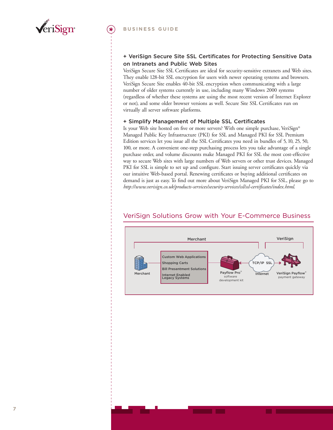

### **+ VeriSign Secure Site SSL Certificates for Protecting Sensitive Data on Intranets and Public Web Sites**

VeriSign Secure Site SSL Certificates are ideal for security-sensitive extranets and Web sites. They enable 128-bit SSL encryption for users with newer operating systems and browsers. VeriSign Secure Site enables 40-bit SSL encryption when communicating with a large number of older systems currently in use, including many Windows 2000 systems (regardless of whether these systems are using the most recent version of Internet Explorer or not), and some older browser versions as well. Secure Site SSL Certificates run on virtually all server software platforms.

#### **+ Simplify Management of Multiple SSL Certificates**

Is your Web site hosted on five or more servers? With one simple purchase, VeriSign® Managed Public Key Infrastructure (PKI) for SSL and Managed PKI for SSL Premium Edition services let you issue all the SSL Certificates you need in bundles of 5, 10, 25, 50, 100, or more. A convenient one-step purchasing process lets you take advantage of a single purchase order, and volume discounts make Managed PKI for SSL the most cost-effective way to secure Web sites with large numbers of Web servers or other trust devices. Managed PKI for SSL is simple to set up and configure. Start issuing server certificates quickly via our intuitive Web-based portal. Renewing certificates or buying additional certificates on demand is just as easy. To find out more about VeriSign Managed PKI for SSL, please go to *http://www.verisign.co.uk/products-services/security-services/ssl/ssl-certificates/index.html*.

#### **Merchant Custom Web Applications Shopping Carts Bill Presentment Solutions Internet Enabled Legacy Systems Payflow Pro** software development kit **VeriSign Payflow** payment gateway **Merchant VeriSign Internet TCP/IP SSL**

## VeriSign Solutions Grow with Your E-Commerce Business